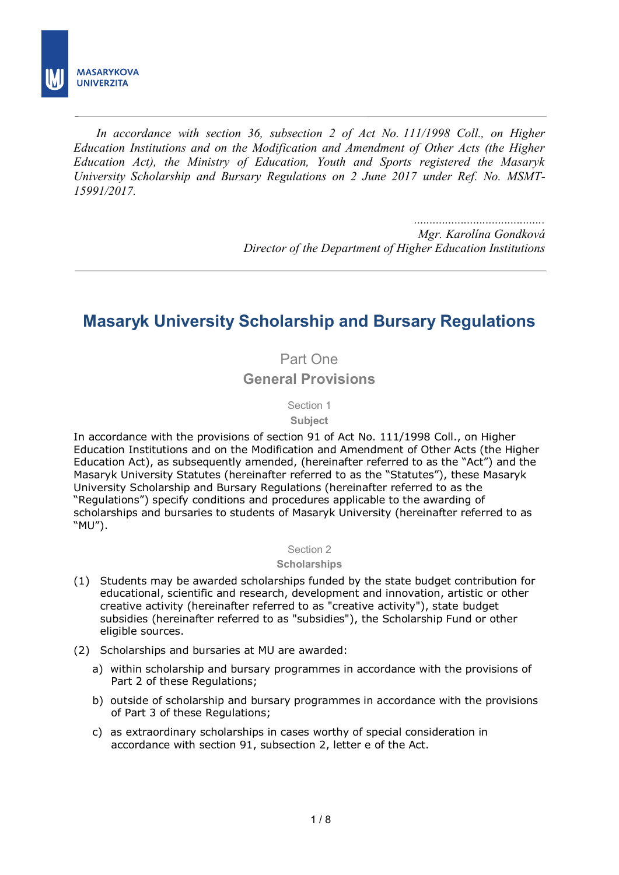

Ī *In accordance with section 36, subsection 2 of Act No. 111/1998 Coll., on Higher Education Institutions and on the Modification and Amendment of Other Acts (the Higher Education Act), the Ministry of Education, Youth and Sports registered the Masaryk University Scholarship and Bursary Regulations on 2 June 2017 under Ref. No. MSMT-15991/2017.* 

> *.......................................... Mgr. Karolína Gondková Director of the Department of Higher Education Institutions*

# **Masaryk University Scholarship and Bursary Regulations**

Part One **General Provisions**

Section 1

**Subject** 

In accordance with the provisions of section 91 of Act No. 111/1998 Coll., on Higher Education Institutions and on the Modification and Amendment of Other Acts (the Higher Education Act), as subsequently amended, (hereinafter referred to as the "Act") and the Masaryk University Statutes (hereinafter referred to as the "Statutes"), these Masaryk University Scholarship and Bursary Regulations (hereinafter referred to as the "Regulations") specify conditions and procedures applicable to the awarding of scholarships and bursaries to students of Masaryk University (hereinafter referred to as "MU").

#### Section 2

## **Scholarships**

- (1) Students may be awarded scholarships funded by the state budget contribution for educational, scientific and research, development and innovation, artistic or other creative activity (hereinafter referred to as "creative activity"), state budget subsidies (hereinafter referred to as "subsidies"), the Scholarship Fund or other eligible sources.
- (2) Scholarships and bursaries at MU are awarded:
	- a) within scholarship and bursary programmes in accordance with the provisions of Part 2 of these Regulations;
	- b) outside of scholarship and bursary programmes in accordance with the provisions of Part 3 of these Regulations;
	- c) as extraordinary scholarships in cases worthy of special consideration in accordance with section 91, subsection 2, letter e of the Act.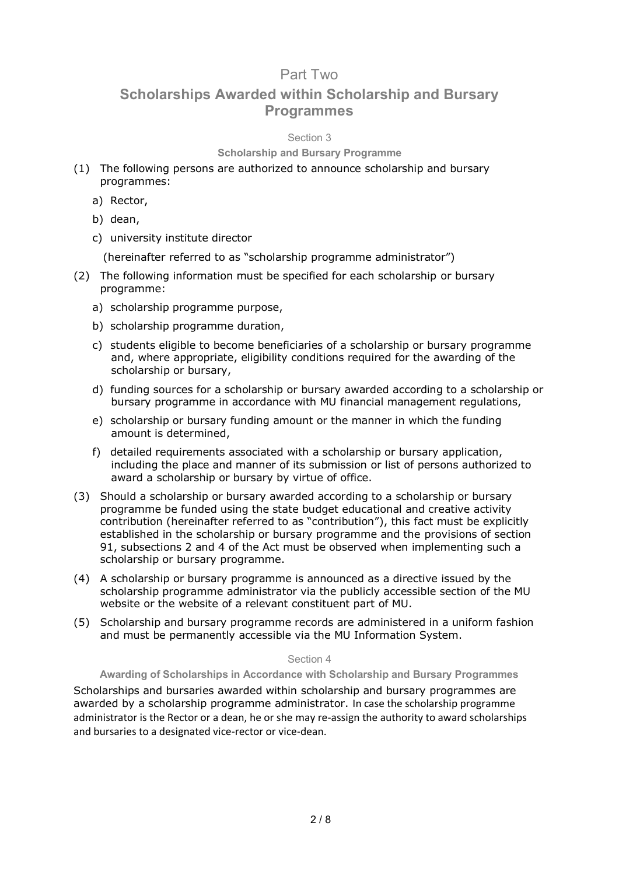# Part Two

# **Scholarships Awarded within Scholarship and Bursary Programmes**

# Section 3

# **Scholarship and Bursary Programme**

- (1) The following persons are authorized to announce scholarship and bursary programmes:
	- a) Rector,
	- b) dean,
	- c) university institute director

(hereinafter referred to as "scholarship programme administrator")

- (2) The following information must be specified for each scholarship or bursary programme:
	- a) scholarship programme purpose,
	- b) scholarship programme duration,
	- c) students eligible to become beneficiaries of a scholarship or bursary programme and, where appropriate, eligibility conditions required for the awarding of the scholarship or bursary,
	- d) funding sources for a scholarship or bursary awarded according to a scholarship or bursary programme in accordance with MU financial management regulations,
	- e) scholarship or bursary funding amount or the manner in which the funding amount is determined,
	- f) detailed requirements associated with a scholarship or bursary application, including the place and manner of its submission or list of persons authorized to award a scholarship or bursary by virtue of office.
- (3) Should a scholarship or bursary awarded according to a scholarship or bursary programme be funded using the state budget educational and creative activity contribution (hereinafter referred to as "contribution"), this fact must be explicitly established in the scholarship or bursary programme and the provisions of section 91, subsections 2 and 4 of the Act must be observed when implementing such a scholarship or bursary programme.
- (4) A scholarship or bursary programme is announced as a directive issued by the scholarship programme administrator via the publicly accessible section of the MU website or the website of a relevant constituent part of MU.
- (5) Scholarship and bursary programme records are administered in a uniform fashion and must be permanently accessible via the MU Information System.

## Section 4

**Awarding of Scholarships in Accordance with Scholarship and Bursary Programmes**

Scholarships and bursaries awarded within scholarship and bursary programmes are awarded by a scholarship programme administrator. In case the scholarship programme administrator is the Rector or a dean, he or she may re-assign the authority to award scholarships and bursaries to a designated vice-rector or vice-dean.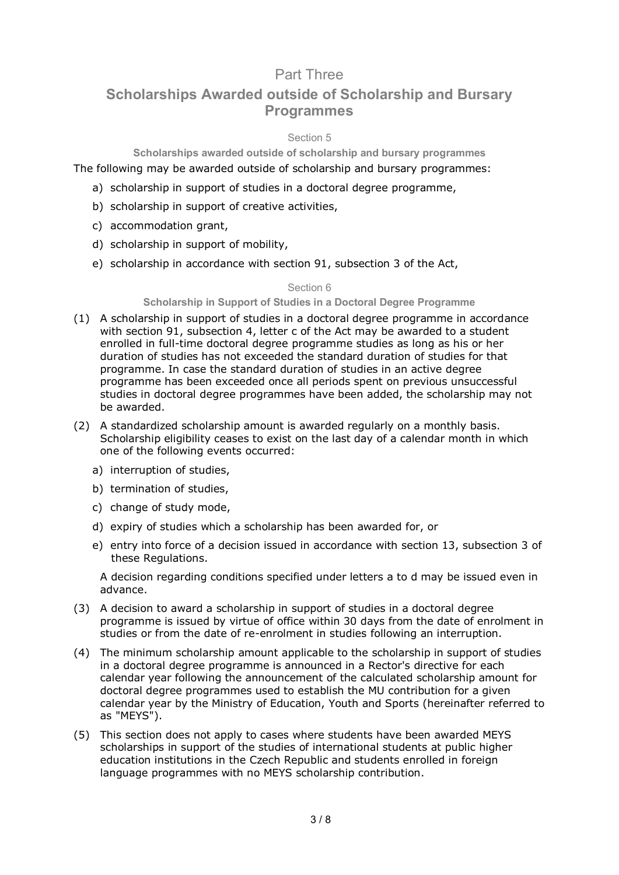# Part Three

# **Scholarships Awarded outside of Scholarship and Bursary Programmes**

# Section 5

# **Scholarships awarded outside of scholarship and bursary programmes**

The following may be awarded outside of scholarship and bursary programmes:

- a) scholarship in support of studies in a doctoral degree programme,
- b) scholarship in support of creative activities,
- c) accommodation grant,
- d) scholarship in support of mobility,
- e) scholarship in accordance with section 91, subsection 3 of the Act,

#### Section 6

### **Scholarship in Support of Studies in a Doctoral Degree Programme**

- (1) A scholarship in support of studies in a doctoral degree programme in accordance with section 91, subsection 4, letter c of the Act may be awarded to a student enrolled in full-time doctoral degree programme studies as long as his or her duration of studies has not exceeded the standard duration of studies for that programme. In case the standard duration of studies in an active degree programme has been exceeded once all periods spent on previous unsuccessful studies in doctoral degree programmes have been added, the scholarship may not be awarded.
- (2) A standardized scholarship amount is awarded regularly on a monthly basis. Scholarship eligibility ceases to exist on the last day of a calendar month in which one of the following events occurred:
	- a) interruption of studies,
	- b) termination of studies,
	- c) change of study mode,
	- d) expiry of studies which a scholarship has been awarded for, or
	- e) entry into force of a decision issued in accordance with section 13, subsection 3 of these Regulations.

A decision regarding conditions specified under letters a to d may be issued even in advance.

- (3) A decision to award a scholarship in support of studies in a doctoral degree programme is issued by virtue of office within 30 days from the date of enrolment in studies or from the date of re-enrolment in studies following an interruption.
- (4) The minimum scholarship amount applicable to the scholarship in support of studies in a doctoral degree programme is announced in a Rector's directive for each calendar year following the announcement of the calculated scholarship amount for doctoral degree programmes used to establish the MU contribution for a given calendar year by the Ministry of Education, Youth and Sports (hereinafter referred to as "MEYS").
- (5) This section does not apply to cases where students have been awarded MEYS scholarships in support of the studies of international students at public higher education institutions in the Czech Republic and students enrolled in foreign language programmes with no MEYS scholarship contribution.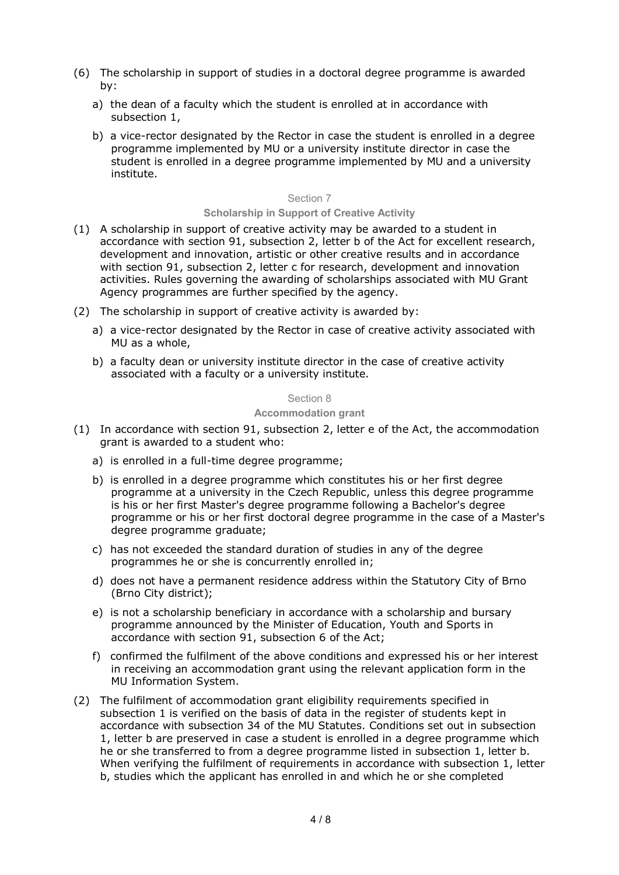- (6) The scholarship in support of studies in a doctoral degree programme is awarded by:
	- a) the dean of a faculty which the student is enrolled at in accordance with subsection 1,
	- b) a vice-rector designated by the Rector in case the student is enrolled in a degree programme implemented by MU or a university institute director in case the student is enrolled in a degree programme implemented by MU and a university institute.

#### Section 7

#### **Scholarship in Support of Creative Activity**

- (1) A scholarship in support of creative activity may be awarded to a student in accordance with section 91, subsection 2, letter b of the Act for excellent research, development and innovation, artistic or other creative results and in accordance with section 91, subsection 2, letter c for research, development and innovation activities. Rules governing the awarding of scholarships associated with MU Grant Agency programmes are further specified by the agency.
- (2) The scholarship in support of creative activity is awarded by:
	- a) a vice-rector designated by the Rector in case of creative activity associated with MU as a whole,
	- b) a faculty dean or university institute director in the case of creative activity associated with a faculty or a university institute.

#### Section 8

#### **Accommodation grant**

- (1) In accordance with section 91, subsection 2, letter e of the Act, the accommodation grant is awarded to a student who:
	- a) is enrolled in a full-time degree programme;
	- b) is enrolled in a degree programme which constitutes his or her first degree programme at a university in the Czech Republic, unless this degree programme is his or her first Master's degree programme following a Bachelor's degree programme or his or her first doctoral degree programme in the case of a Master's degree programme graduate;
	- c) has not exceeded the standard duration of studies in any of the degree programmes he or she is concurrently enrolled in;
	- d) does not have a permanent residence address within the Statutory City of Brno (Brno City district);
	- e) is not a scholarship beneficiary in accordance with a scholarship and bursary programme announced by the Minister of Education, Youth and Sports in accordance with section 91, subsection 6 of the Act;
	- f) confirmed the fulfilment of the above conditions and expressed his or her interest in receiving an accommodation grant using the relevant application form in the MU Information System.
- (2) The fulfilment of accommodation grant eligibility requirements specified in subsection 1 is verified on the basis of data in the register of students kept in accordance with subsection 34 of the MU Statutes. Conditions set out in subsection 1, letter b are preserved in case a student is enrolled in a degree programme which he or she transferred to from a degree programme listed in subsection 1, letter b. When verifying the fulfilment of requirements in accordance with subsection 1, letter b, studies which the applicant has enrolled in and which he or she completed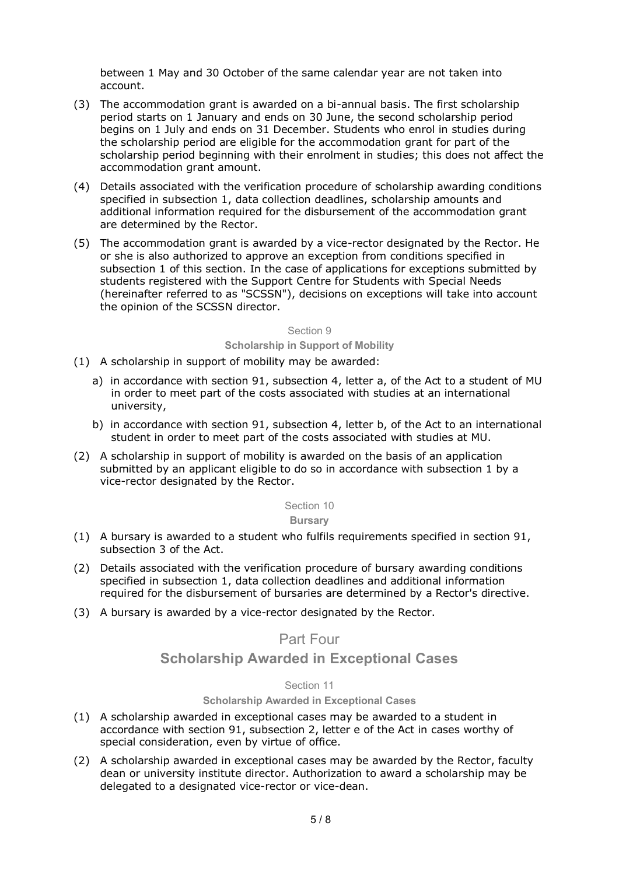between 1 May and 30 October of the same calendar year are not taken into account.

- (3) The accommodation grant is awarded on a bi-annual basis. The first scholarship period starts on 1 January and ends on 30 June, the second scholarship period begins on 1 July and ends on 31 December. Students who enrol in studies during the scholarship period are eligible for the accommodation grant for part of the scholarship period beginning with their enrolment in studies; this does not affect the accommodation grant amount.
- (4) Details associated with the verification procedure of scholarship awarding conditions specified in subsection 1, data collection deadlines, scholarship amounts and additional information required for the disbursement of the accommodation grant are determined by the Rector.
- (5) The accommodation grant is awarded by a vice-rector designated by the Rector. He or she is also authorized to approve an exception from conditions specified in subsection 1 of this section. In the case of applications for exceptions submitted by students registered with the Support Centre for Students with Special Needs (hereinafter referred to as "SCSSN"), decisions on exceptions will take into account the opinion of the SCSSN director.

### Section 9

#### **Scholarship in Support of Mobility**

- (1) A scholarship in support of mobility may be awarded:
	- a) in accordance with section 91, subsection 4, letter a, of the Act to a student of MU in order to meet part of the costs associated with studies at an international university,
	- b) in accordance with section 91, subsection 4, letter b, of the Act to an international student in order to meet part of the costs associated with studies at MU.
- (2) A scholarship in support of mobility is awarded on the basis of an application submitted by an applicant eligible to do so in accordance with subsection 1 by a vice-rector designated by the Rector.

#### Section 10

#### **Bursary**

- (1) A bursary is awarded to a student who fulfils requirements specified in section 91, subsection 3 of the Act.
- (2) Details associated with the verification procedure of bursary awarding conditions specified in subsection 1, data collection deadlines and additional information required for the disbursement of bursaries are determined by a Rector's directive.
- (3) A bursary is awarded by a vice-rector designated by the Rector.

# Part Four

# **Scholarship Awarded in Exceptional Cases**

## Section 11

## **Scholarship Awarded in Exceptional Cases**

- (1) A scholarship awarded in exceptional cases may be awarded to a student in accordance with section 91, subsection 2, letter e of the Act in cases worthy of special consideration, even by virtue of office.
- (2) A scholarship awarded in exceptional cases may be awarded by the Rector, faculty dean or university institute director. Authorization to award a scholarship may be delegated to a designated vice-rector or vice-dean.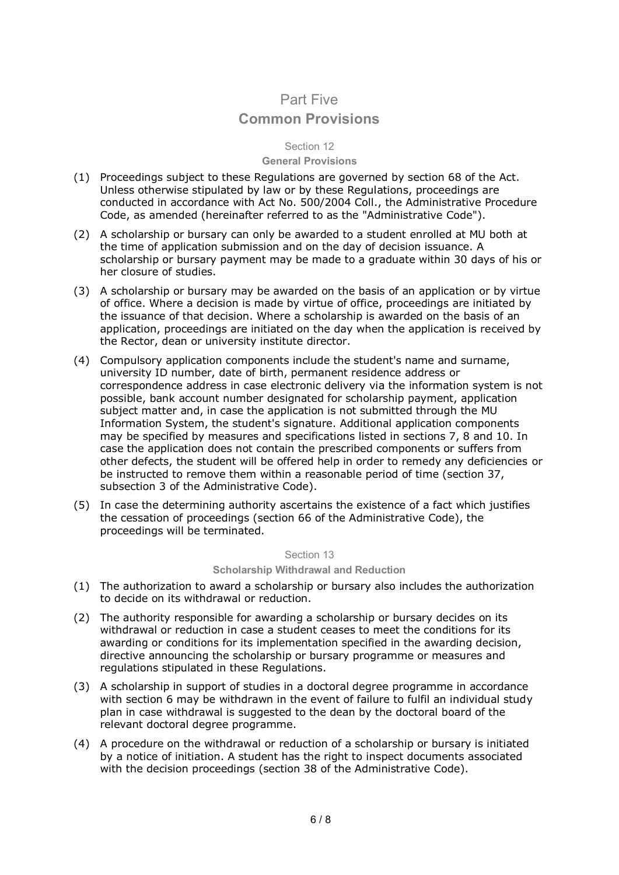# Part Five **Common Provisions**

# Section 12

#### **General Provisions**

- (1) Proceedings subject to these Regulations are governed by section 68 of the Act. Unless otherwise stipulated by law or by these Regulations, proceedings are conducted in accordance with Act No. 500/2004 Coll., the Administrative Procedure Code, as amended (hereinafter referred to as the "Administrative Code").
- (2) A scholarship or bursary can only be awarded to a student enrolled at MU both at the time of application submission and on the day of decision issuance. A scholarship or bursary payment may be made to a graduate within 30 days of his or her closure of studies.
- (3) A scholarship or bursary may be awarded on the basis of an application or by virtue of office. Where a decision is made by virtue of office, proceedings are initiated by the issuance of that decision. Where a scholarship is awarded on the basis of an application, proceedings are initiated on the day when the application is received by the Rector, dean or university institute director.
- (4) Compulsory application components include the student's name and surname, university ID number, date of birth, permanent residence address or correspondence address in case electronic delivery via the information system is not possible, bank account number designated for scholarship payment, application subject matter and, in case the application is not submitted through the MU Information System, the student's signature. Additional application components may be specified by measures and specifications listed in sections 7, 8 and 10. In case the application does not contain the prescribed components or suffers from other defects, the student will be offered help in order to remedy any deficiencies or be instructed to remove them within a reasonable period of time (section 37, subsection 3 of the Administrative Code).
- (5) In case the determining authority ascertains the existence of a fact which justifies the cessation of proceedings (section 66 of the Administrative Code), the proceedings will be terminated.

Section 13

**Scholarship Withdrawal and Reduction**

- (1) The authorization to award a scholarship or bursary also includes the authorization to decide on its withdrawal or reduction.
- (2) The authority responsible for awarding a scholarship or bursary decides on its withdrawal or reduction in case a student ceases to meet the conditions for its awarding or conditions for its implementation specified in the awarding decision, directive announcing the scholarship or bursary programme or measures and regulations stipulated in these Regulations.
- (3) A scholarship in support of studies in a doctoral degree programme in accordance with section 6 may be withdrawn in the event of failure to fulfil an individual study plan in case withdrawal is suggested to the dean by the doctoral board of the relevant doctoral degree programme.
- (4) A procedure on the withdrawal or reduction of a scholarship or bursary is initiated by a notice of initiation. A student has the right to inspect documents associated with the decision proceedings (section 38 of the Administrative Code).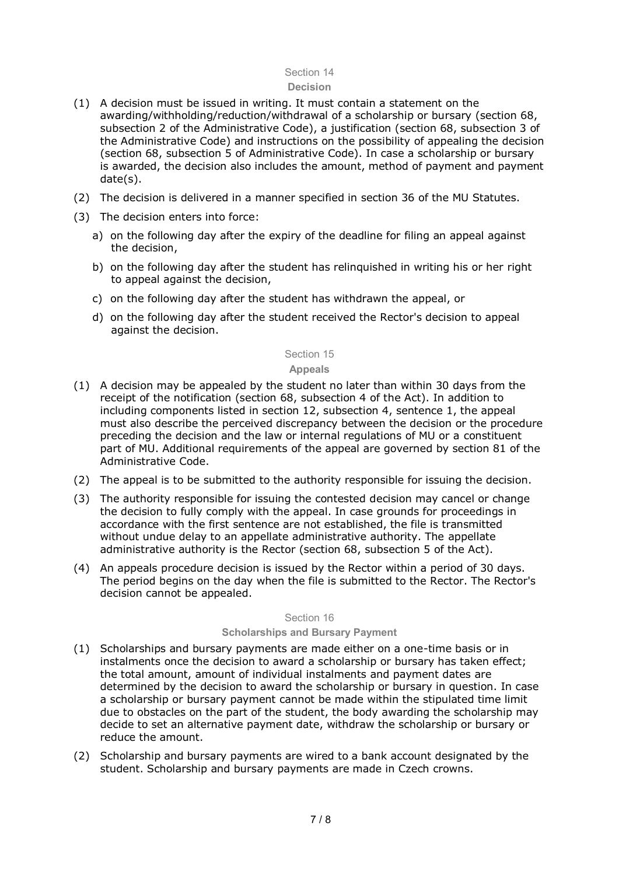## Section 14

#### **Decision**

- (1) A decision must be issued in writing. It must contain a statement on the awarding/withholding/reduction/withdrawal of a scholarship or bursary (section 68, subsection 2 of the Administrative Code), a justification (section 68, subsection 3 of the Administrative Code) and instructions on the possibility of appealing the decision (section 68, subsection 5 of Administrative Code). In case a scholarship or bursary is awarded, the decision also includes the amount, method of payment and payment date(s).
- (2) The decision is delivered in a manner specified in section 36 of the MU Statutes.
- (3) The decision enters into force:
	- a) on the following day after the expiry of the deadline for filing an appeal against the decision,
	- b) on the following day after the student has relinquished in writing his or her right to appeal against the decision,
	- c) on the following day after the student has withdrawn the appeal, or
	- d) on the following day after the student received the Rector's decision to appeal against the decision.

# Section 15

# **Appeals**

- (1) A decision may be appealed by the student no later than within 30 days from the receipt of the notification (section 68, subsection 4 of the Act). In addition to including components listed in section 12, subsection 4, sentence 1, the appeal must also describe the perceived discrepancy between the decision or the procedure preceding the decision and the law or internal regulations of MU or a constituent part of MU. Additional requirements of the appeal are governed by section 81 of the Administrative Code.
- (2) The appeal is to be submitted to the authority responsible for issuing the decision.
- (3) The authority responsible for issuing the contested decision may cancel or change the decision to fully comply with the appeal. In case grounds for proceedings in accordance with the first sentence are not established, the file is transmitted without undue delay to an appellate administrative authority. The appellate administrative authority is the Rector (section 68, subsection 5 of the Act).
- (4) An appeals procedure decision is issued by the Rector within a period of 30 days. The period begins on the day when the file is submitted to the Rector. The Rector's decision cannot be appealed.

#### Section 16

#### **Scholarships and Bursary Payment**

- (1) Scholarships and bursary payments are made either on a one-time basis or in instalments once the decision to award a scholarship or bursary has taken effect; the total amount, amount of individual instalments and payment dates are determined by the decision to award the scholarship or bursary in question. In case a scholarship or bursary payment cannot be made within the stipulated time limit due to obstacles on the part of the student, the body awarding the scholarship may decide to set an alternative payment date, withdraw the scholarship or bursary or reduce the amount.
- (2) Scholarship and bursary payments are wired to a bank account designated by the student. Scholarship and bursary payments are made in Czech crowns.